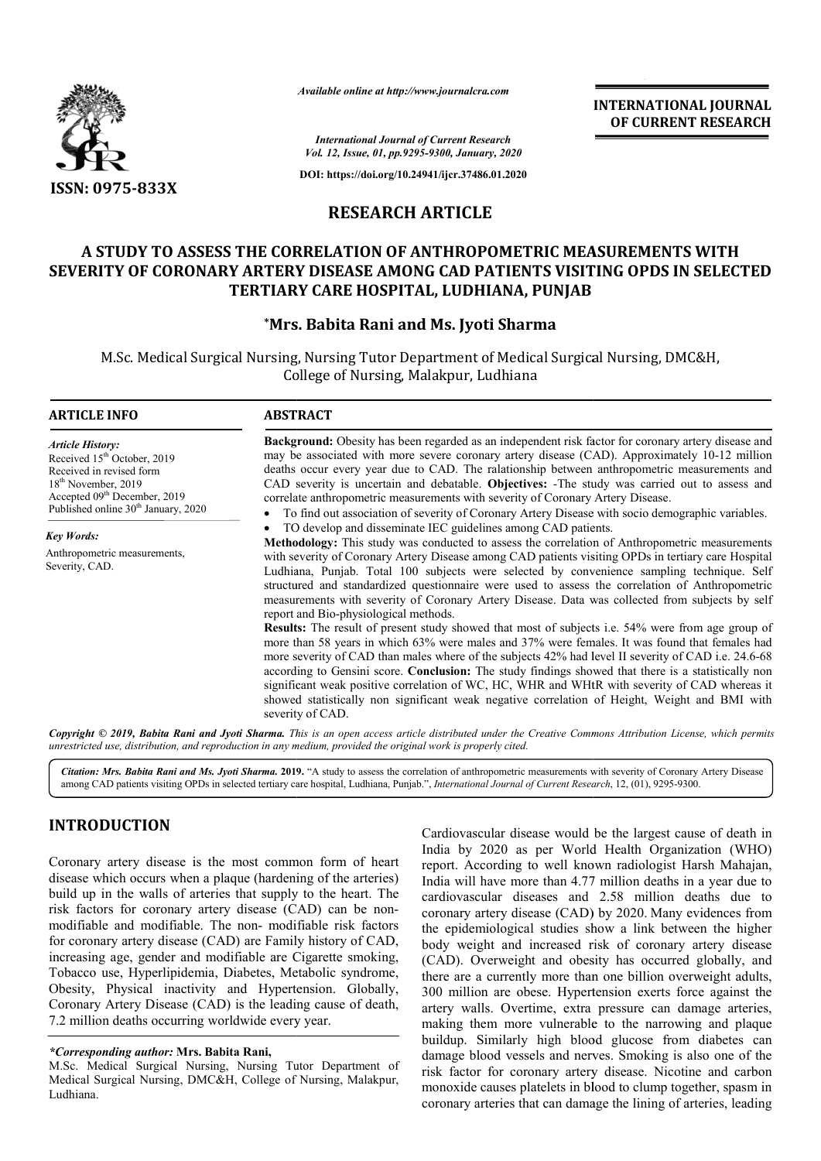

*Available online at http://www.journalcra.com*

# **RESEARCH ARTICLE**

# **A STUDY TO ASSESS THE CORRELATION OF ANTHROPOMETRIC MEASUREMENTS WITH SEVERITY OF CORONARY ARTERY DISEASE AMONG CAD PATIENTS VISITING TO ASSESS THE CORRELATION ANTHROPOMETRIC OF CORONARY OPDS IN SELECTED TERTIARY CARE HOSPITAL, LUD LUDHIANA, PUNJAB**

## **\*Mrs. Babita Rani and Ms. Jyoti Sharma Mrs.**

|                                                                                                                                                                                                                                                                                                                                                                                                                                                                                                                                                                                                                                                                                                                                   |                                                           | <b>INTERNATIONAL JOURNAL</b><br>OF CURRENT RESEARCH                                                                                                                                                                                                                                                                                                                                                                                                                                                                                                                                                                                                                                                                                                                                                                                                                                                                                                                                                                                                                                                                                                                                                                                                                                                                                                                                                                                                                                                                                                                                                                                                                                                                                                                                               |
|-----------------------------------------------------------------------------------------------------------------------------------------------------------------------------------------------------------------------------------------------------------------------------------------------------------------------------------------------------------------------------------------------------------------------------------------------------------------------------------------------------------------------------------------------------------------------------------------------------------------------------------------------------------------------------------------------------------------------------------|-----------------------------------------------------------|---------------------------------------------------------------------------------------------------------------------------------------------------------------------------------------------------------------------------------------------------------------------------------------------------------------------------------------------------------------------------------------------------------------------------------------------------------------------------------------------------------------------------------------------------------------------------------------------------------------------------------------------------------------------------------------------------------------------------------------------------------------------------------------------------------------------------------------------------------------------------------------------------------------------------------------------------------------------------------------------------------------------------------------------------------------------------------------------------------------------------------------------------------------------------------------------------------------------------------------------------------------------------------------------------------------------------------------------------------------------------------------------------------------------------------------------------------------------------------------------------------------------------------------------------------------------------------------------------------------------------------------------------------------------------------------------------------------------------------------------------------------------------------------------------|
|                                                                                                                                                                                                                                                                                                                                                                                                                                                                                                                                                                                                                                                                                                                                   |                                                           | <b>International Journal of Current Research</b><br>Vol. 12, Issue, 01, pp.9295-9300, January, 2020                                                                                                                                                                                                                                                                                                                                                                                                                                                                                                                                                                                                                                                                                                                                                                                                                                                                                                                                                                                                                                                                                                                                                                                                                                                                                                                                                                                                                                                                                                                                                                                                                                                                                               |
|                                                                                                                                                                                                                                                                                                                                                                                                                                                                                                                                                                                                                                                                                                                                   |                                                           | DOI: https://doi.org/10.24941/ijcr.37486.01.2020                                                                                                                                                                                                                                                                                                                                                                                                                                                                                                                                                                                                                                                                                                                                                                                                                                                                                                                                                                                                                                                                                                                                                                                                                                                                                                                                                                                                                                                                                                                                                                                                                                                                                                                                                  |
| <b>ISSN: 0975-833X</b>                                                                                                                                                                                                                                                                                                                                                                                                                                                                                                                                                                                                                                                                                                            | <b>RESEARCH ARTICLE</b>                                   |                                                                                                                                                                                                                                                                                                                                                                                                                                                                                                                                                                                                                                                                                                                                                                                                                                                                                                                                                                                                                                                                                                                                                                                                                                                                                                                                                                                                                                                                                                                                                                                                                                                                                                                                                                                                   |
|                                                                                                                                                                                                                                                                                                                                                                                                                                                                                                                                                                                                                                                                                                                                   |                                                           |                                                                                                                                                                                                                                                                                                                                                                                                                                                                                                                                                                                                                                                                                                                                                                                                                                                                                                                                                                                                                                                                                                                                                                                                                                                                                                                                                                                                                                                                                                                                                                                                                                                                                                                                                                                                   |
|                                                                                                                                                                                                                                                                                                                                                                                                                                                                                                                                                                                                                                                                                                                                   |                                                           | A STUDY TO ASSESS THE CORRELATION OF ANTHROPOMETRIC MEASUREMENTS WITH<br>SEVERITY OF CORONARY ARTERY DISEASE AMONG CAD PATIENTS VISITING OPDS IN SELECTED<br>TERTIARY CARE HOSPITAL, LUDHIANA, PUNJAB                                                                                                                                                                                                                                                                                                                                                                                                                                                                                                                                                                                                                                                                                                                                                                                                                                                                                                                                                                                                                                                                                                                                                                                                                                                                                                                                                                                                                                                                                                                                                                                             |
|                                                                                                                                                                                                                                                                                                                                                                                                                                                                                                                                                                                                                                                                                                                                   | *Mrs. Babita Rani and Ms. Jyoti Sharma                    |                                                                                                                                                                                                                                                                                                                                                                                                                                                                                                                                                                                                                                                                                                                                                                                                                                                                                                                                                                                                                                                                                                                                                                                                                                                                                                                                                                                                                                                                                                                                                                                                                                                                                                                                                                                                   |
|                                                                                                                                                                                                                                                                                                                                                                                                                                                                                                                                                                                                                                                                                                                                   | College of Nursing, Malakpur, Ludhiana                    | M.Sc. Medical Surgical Nursing, Nursing Tutor Department of Medical Surgical Nursing, DMC&H,                                                                                                                                                                                                                                                                                                                                                                                                                                                                                                                                                                                                                                                                                                                                                                                                                                                                                                                                                                                                                                                                                                                                                                                                                                                                                                                                                                                                                                                                                                                                                                                                                                                                                                      |
| <b>ARTICLE INFO</b>                                                                                                                                                                                                                                                                                                                                                                                                                                                                                                                                                                                                                                                                                                               | <b>ABSTRACT</b>                                           |                                                                                                                                                                                                                                                                                                                                                                                                                                                                                                                                                                                                                                                                                                                                                                                                                                                                                                                                                                                                                                                                                                                                                                                                                                                                                                                                                                                                                                                                                                                                                                                                                                                                                                                                                                                                   |
| <b>Article History:</b><br>Received 15 <sup>th</sup> October, 2019<br>Received in revised form<br>18 <sup>th</sup> November, 2019<br>Accepted 09 <sup>th</sup> December, 2019<br>Published online 30 <sup>th</sup> January, 2020<br><b>Key Words:</b><br>Anthropometric measurements,<br>Severity, CAD.                                                                                                                                                                                                                                                                                                                                                                                                                           | report and Bio-physiological methods.<br>severity of CAD. | Background: Obesity has been regarded as an independent risk factor for coronary artery disease and<br>may be associated with more severe coronary artery disease (CAD). Approximately 10-12 million<br>deaths occur every year due to CAD. The ralationship between anthropometric measurements and<br>CAD severity is uncertain and debatable. Objectives: -The study was carried out to assess and<br>correlate anthropometric measurements with severity of Coronary Artery Disease.<br>To find out association of severity of Coronary Artery Disease with socio demographic variables.<br>TO develop and disseminate IEC guidelines among CAD patients.<br>Methodology: This study was conducted to assess the correlation of Anthropometric measurements<br>with severity of Coronary Artery Disease among CAD patients visiting OPDs in tertiary care Hospital<br>Ludhiana, Punjab. Total 100 subjects were selected by convenience sampling technique. Self<br>structured and standardized questionnaire were used to assess the correlation of Anthropometric<br>measurements with severity of Coronary Artery Disease. Data was collected from subjects by self<br>Results: The result of present study showed that most of subjects i.e. 54% were from age group of<br>more than 58 years in which 63% were males and 37% were females. It was found that females had<br>more severity of CAD than males where of the subjects 42% had level II severity of CAD i.e. 24.6-68<br>according to Gensini score. Conclusion: The study findings showed that there is a statistically non<br>significant weak positive correlation of WC, HC, WHR and WHtR with severity of CAD whereas it<br>showed statistically non significant weak negative correlation of Height, Weight and BMI with |
| unrestricted use, distribution, and reproduction in any medium, provided the original work is properly cited.                                                                                                                                                                                                                                                                                                                                                                                                                                                                                                                                                                                                                     |                                                           | Copyright © 2019, Babita Rani and Jyoti Sharma. This is an open access article distributed under the Creative Commons Attribution License, which permits                                                                                                                                                                                                                                                                                                                                                                                                                                                                                                                                                                                                                                                                                                                                                                                                                                                                                                                                                                                                                                                                                                                                                                                                                                                                                                                                                                                                                                                                                                                                                                                                                                          |
|                                                                                                                                                                                                                                                                                                                                                                                                                                                                                                                                                                                                                                                                                                                                   |                                                           | Citation: Mrs. Babita Rani and Ms. Jyoti Sharma. 2019. "A study to assess the correlation of anthropometric measurements with severity of Coronary Artery Disease<br>among CAD patients visiting OPDs in selected tertiary care hospital, Ludhiana, Punjab.", International Journal of Current Research, 12, (01), 9295-9300.                                                                                                                                                                                                                                                                                                                                                                                                                                                                                                                                                                                                                                                                                                                                                                                                                                                                                                                                                                                                                                                                                                                                                                                                                                                                                                                                                                                                                                                                     |
| <b>INTRODUCTION</b><br>Coronary artery disease is the most common form of heart<br>disease which occurs when a plaque (hardening of the arteries)<br>build up in the walls of arteries that supply to the heart. The<br>risk factors for coronary artery disease (CAD) can be non-<br>modifiable and modifiable. The non- modifiable risk factors<br>for coronary artery disease (CAD) are Family history of CAD,<br>increasing age, gender and modifiable are Cigarette smoking,<br>Tobacco use, Hyperlipidemia, Diabetes, Metabolic syndrome,<br>Obesity, Physical inactivity and Hypertension. Globally,<br>Coronary Artery Disease (CAD) is the leading cause of death,<br>7.2 million deaths occurring worldwide every year. |                                                           | Cardiovascular disease would be the largest cause of death in<br>India by 2020 as per World Health Organization (WHO)<br>report. According to well known radiologist Harsh Mahajan,<br>India will have more than 4.77 million deaths in a year due to<br>cardiovascular diseases and 2.58 million deaths due to<br>coronary artery disease (CAD) by 2020. Many evidences from<br>the epidemiological studies show a link between the higher<br>body weight and increased risk of coronary artery disease<br>(CAD). Overweight and obesity has occurred globally, and<br>there are a currently more than one billion overweight adults,<br>300 million are obese. Hypertension exerts force against the<br>artery walls. Overtime, extra pressure can damage arteries,<br>making them more vulnerable to the narrowing and plaque                                                                                                                                                                                                                                                                                                                                                                                                                                                                                                                                                                                                                                                                                                                                                                                                                                                                                                                                                                  |
| <i>*Corresponding author: Mrs. Babita Rani,</i><br>M.Sc. Medical Surgical Nursing, Nursing Tutor Department of<br>Medical Surgical Nursing, DMC&H, College of Nursing, Malakpur,<br>Ludhiono                                                                                                                                                                                                                                                                                                                                                                                                                                                                                                                                      |                                                           | buildup. Similarly high blood glucose from diabetes can<br>damage blood vessels and nerves. Smoking is also one of the<br>risk factor for coronary artery disease. Nicotine and carbon<br>monoxide causes platelets in blood to clump together, spasm in                                                                                                                                                                                                                                                                                                                                                                                                                                                                                                                                                                                                                                                                                                                                                                                                                                                                                                                                                                                                                                                                                                                                                                                                                                                                                                                                                                                                                                                                                                                                          |

# **INTRODUCTION**

Cardiovascular disease would be the largest cause of death in India by 2020 as per World Health Organization (WHO) report. According to well known radiologist Harsh Mahajan, India will have more than 4.77 million deaths in a year due to Cardiovascular disease would be the largest cause of death in India by 2020 as per World Health Organization (WHO) report. According to well known radiologist Harsh Mahajan, India will have more than 4.77 million deaths in coronary artery disease (CAD) by 2020. Many evidences from the epidemiological studies show a link between the higher the epidemiological studies show a link between the higher body weight and increased risk of coronary artery disease (CAD). Overweight and obesity has occurred globally, and there are a currently more than one billion overweight adults, 300 million are obese. Hypertension exerts force against the (CAD). Overweight and obesity has occurred globally, and there are a currently more than one billion overweight adults, 300 million are obese. Hypertension exerts force against the artery walls. Overtime, extra pressure ca making them more vulnerable to the narrowing and plaque buildup. Similarly high blood glucose from diabetes can damage blood vessels and nerves. Smoking is also one of the risk factor for coronary artery disease. Nicotine and carbon monoxide causes platelets in blood to clump together, spasm in coronary arteries that can damage the lining of arteries, leading

*<sup>\*</sup>Corresponding author:* **Mrs. Babita Rani,**

M.Sc. Medical Surgical Nursing, Nursing Tutor Department of Medical Surgical Nursing, DMC&H, College of Nursing, Malakpur, Ludhiana.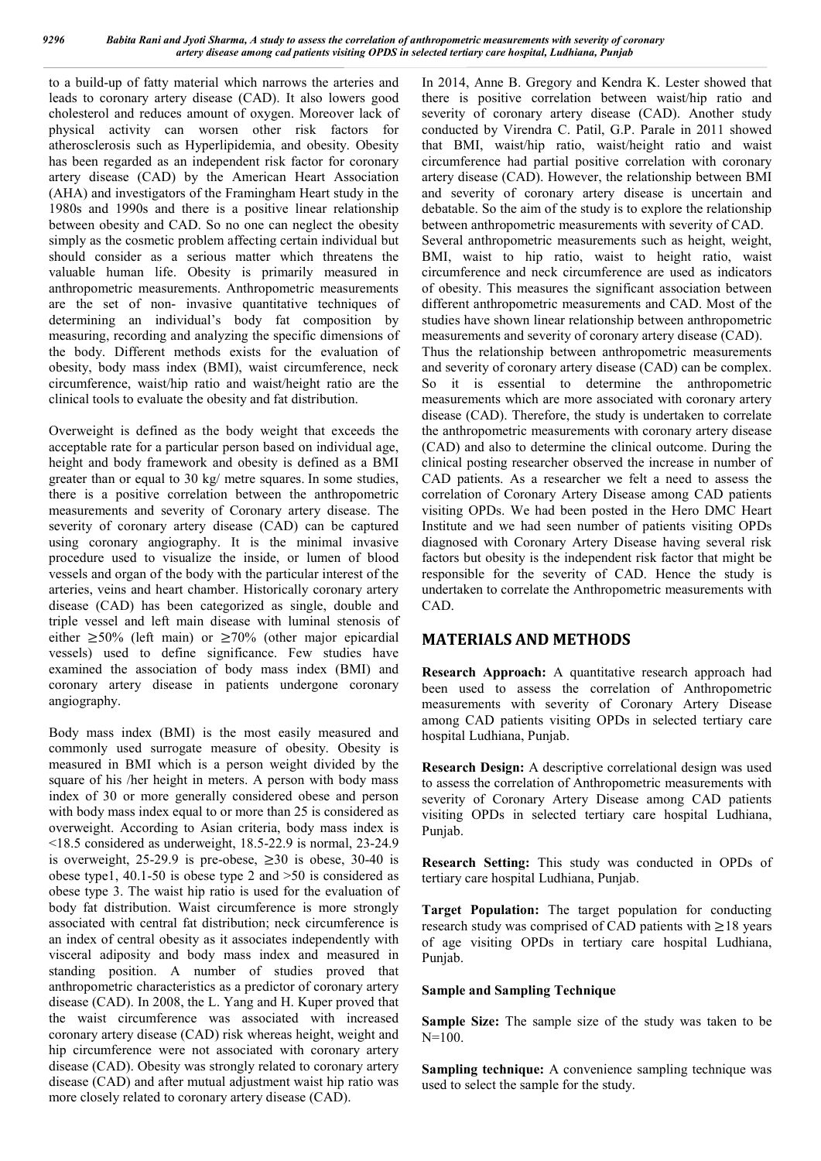to a build-up of fatty material which narrows the arteries and leads to coronary artery disease (CAD). It also lowers good cholesterol and reduces amount of oxygen. Moreover lack of physical activity can worsen other risk factors for atherosclerosis such as Hyperlipidemia, and obesity. Obesity has been regarded as an independent risk factor for coronary artery disease (CAD) by the American Heart Association (AHA) and investigators of the Framingham Heart study in the 1980s and 1990s and there is a positive linear relationship between obesity and CAD. So no one can neglect the obesity simply as the cosmetic problem affecting certain individual but should consider as a serious matter which threatens the valuable human life. Obesity is primarily measured in anthropometric measurements. Anthropometric measurements are the set of non- invasive quantitative techniques of determining an individual's body fat composition by measuring, recording and analyzing the specific dimensions of the body. Different methods exists for the evaluation of obesity, body mass index (BMI), waist circumference, neck circumference, waist/hip ratio and waist/height ratio are the clinical tools to evaluate the obesity and fat distribution.

Overweight is defined as the body weight that exceeds the acceptable rate for a particular person based on individual age, height and body framework and obesity is defined as a BMI greater than or equal to 30 kg/ metre squares. In some studies, there is a positive correlation between the anthropometric measurements and severity of Coronary artery disease. The severity of coronary artery disease (CAD) can be captured using coronary angiography. It is the minimal invasive procedure used to visualize the inside, or lumen of blood vessels and organ of the body with the particular interest of the arteries, veins and heart chamber. Historically coronary artery disease (CAD) has been categorized as single, double and triple vessel and left main disease with luminal stenosis of either  $\geq 50\%$  (left main) or  $\geq 70\%$  (other major epicardial vessels) used to define significance. Few studies have examined the association of body mass index (BMI) and coronary artery disease in patients undergone coronary angiography.

Body mass index (BMI) is the most easily measured and commonly used surrogate measure of obesity. Obesity is measured in BMI which is a person weight divided by the square of his /her height in meters. A person with body mass index of 30 or more generally considered obese and person with body mass index equal to or more than 25 is considered as overweight. According to Asian criteria, body mass index is <18.5 considered as underweight, 18.5-22.9 is normal, 23-24.9 is overweight, 25-29.9 is pre-obese,  $\geq 30$  is obese, 30-40 is obese type1, 40.1-50 is obese type 2 and >50 is considered as obese type 3. The waist hip ratio is used for the evaluation of body fat distribution. Waist circumference is more strongly associated with central fat distribution; neck circumference is an index of central obesity as it associates independently with visceral adiposity and body mass index and measured in standing position. A number of studies proved that anthropometric characteristics as a predictor of coronary artery disease (CAD). In 2008, the L. Yang and H. Kuper proved that the waist circumference was associated with increased coronary artery disease (CAD) risk whereas height, weight and hip circumference were not associated with coronary artery disease (CAD). Obesity was strongly related to coronary artery disease (CAD) and after mutual adjustment waist hip ratio was more closely related to coronary artery disease (CAD).

In 2014, Anne B. Gregory and Kendra K. Lester showed that there is positive correlation between waist/hip ratio and severity of coronary artery disease (CAD). Another study conducted by Virendra C. Patil, G.P. Parale in 2011 showed that BMI, waist/hip ratio, waist/height ratio and waist circumference had partial positive correlation with coronary artery disease (CAD). However, the relationship between BMI and severity of coronary artery disease is uncertain and debatable. So the aim of the study is to explore the relationship between anthropometric measurements with severity of CAD. Several anthropometric measurements such as height, weight, BMI, waist to hip ratio, waist to height ratio, waist circumference and neck circumference are used as indicators of obesity. This measures the significant association between different anthropometric measurements and CAD. Most of the studies have shown linear relationship between anthropometric measurements and severity of coronary artery disease (CAD). Thus the relationship between anthropometric measurements and severity of coronary artery disease (CAD) can be complex. So it is essential to determine the anthropometric measurements which are more associated with coronary artery disease (CAD). Therefore, the study is undertaken to correlate the anthropometric measurements with coronary artery disease (CAD) and also to determine the clinical outcome. During the clinical posting researcher observed the increase in number of CAD patients. As a researcher we felt a need to assess the correlation of Coronary Artery Disease among CAD patients visiting OPDs. We had been posted in the Hero DMC Heart Institute and we had seen number of patients visiting OPDs diagnosed with Coronary Artery Disease having several risk factors but obesity is the independent risk factor that might be responsible for the severity of CAD. Hence the study is undertaken to correlate the Anthropometric measurements with CAD.

## **MATERIALS AND METHODS**

**Research Approach:** A quantitative research approach had been used to assess the correlation of Anthropometric measurements with severity of Coronary Artery Disease among CAD patients visiting OPDs in selected tertiary care hospital Ludhiana, Punjab.

**Research Design:** A descriptive correlational design was used to assess the correlation of Anthropometric measurements with severity of Coronary Artery Disease among CAD patients visiting OPDs in selected tertiary care hospital Ludhiana, Punjab.

**Research Setting:** This study was conducted in OPDs of tertiary care hospital Ludhiana, Punjab.

**Target Population:** The target population for conducting research study was comprised of CAD patients with ≥18 years of age visiting OPDs in tertiary care hospital Ludhiana, Punjab.

### **Sample and Sampling Technique**

**Sample Size:** The sample size of the study was taken to be  $N=100$ .

**Sampling technique:** A convenience sampling technique was used to select the sample for the study.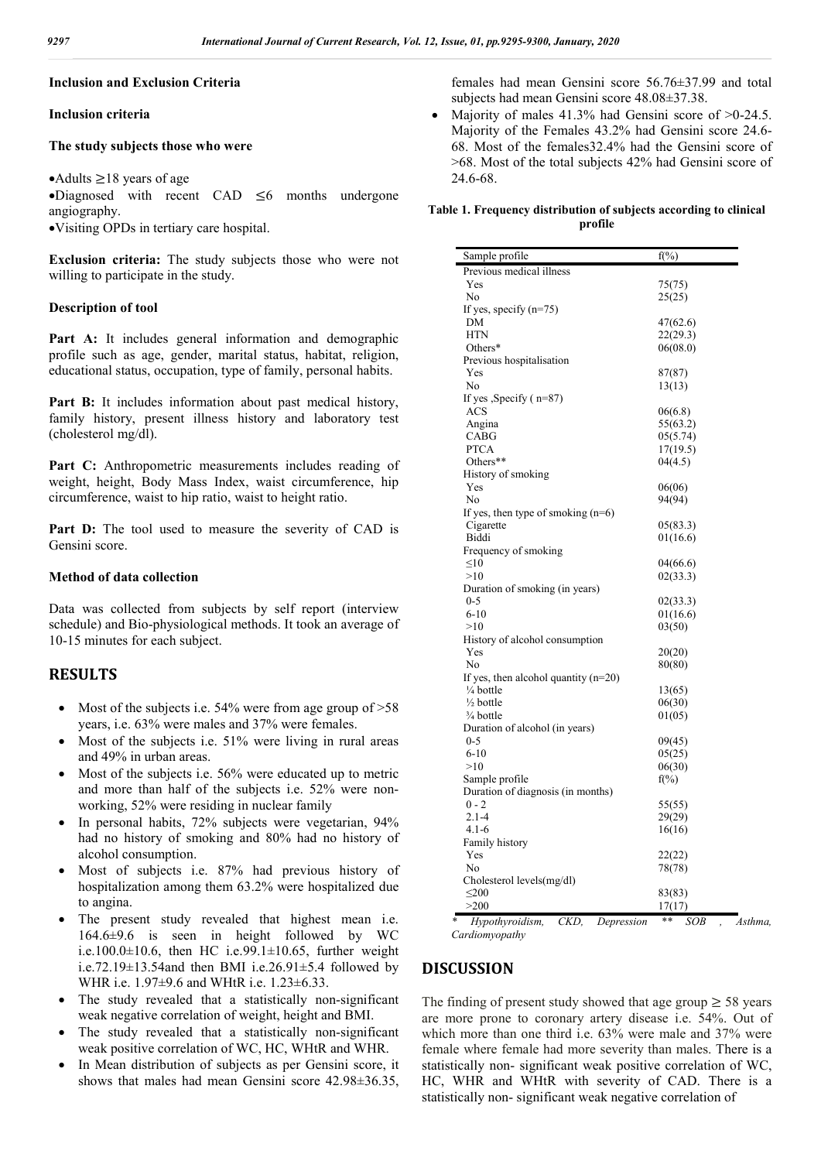### **Inclusion and Exclusion Criteria**

### **Inclusion criteria**

#### **The study subjects those who were**

#### • Adults  $≥18$  years of age

Diagnosed with recent CAD ≤6 months undergone angiography.

Visiting OPDs in tertiary care hospital.

**Exclusion criteria:** The study subjects those who were not willing to participate in the study.

#### **Description of tool**

Part A: It includes general information and demographic profile such as age, gender, marital status, habitat, religion, educational status, occupation, type of family, personal habits.

Part B: It includes information about past medical history, family history, present illness history and laboratory test (cholesterol mg/dl).

Part C: Anthropometric measurements includes reading of weight, height, Body Mass Index, waist circumference, hip circumference, waist to hip ratio, waist to height ratio.

Part D: The tool used to measure the severity of CAD is Gensini score.

#### **Method of data collection**

Data was collected from subjects by self report (interview schedule) and Bio-physiological methods. It took an average of 10-15 minutes for each subject.

## **RESULTS**

- Most of the subjects i.e. 54% were from age group of  $>58$ years, i.e. 63% were males and 37% were females.
- Most of the subjects i.e. 51% were living in rural areas and 49% in urban areas.
- Most of the subjects i.e. 56% were educated up to metric and more than half of the subjects i.e. 52% were nonworking, 52% were residing in nuclear family
- In personal habits, 72% subjects were vegetarian, 94% had no history of smoking and 80% had no history of alcohol consumption.
- Most of subjects i.e. 87% had previous history of hospitalization among them 63.2% were hospitalized due to angina.
- The present study revealed that highest mean i.e. 164.6±9.6 is seen in height followed by WC i.e.100.0 $\pm$ 10.6, then HC i.e.99.1 $\pm$ 10.65, further weight i.e.72.19 $\pm$ 13.54and then BMI i.e.26.91 $\pm$ 5.4 followed by WHR i.e. 1.97±9.6 and WHtR i.e. 1.23±6.33.
- The study revealed that a statistically non-significant weak negative correlation of weight, height and BMI.
- The study revealed that a statistically non-significant weak positive correlation of WC, HC, WHtR and WHR.
- In Mean distribution of subjects as per Gensini score, it shows that males had mean Gensini score 42.98±36.35,

females had mean Gensini score 56.76±37.99 and total subjects had mean Gensini score 48.08±37.38.

• Majority of males  $41.3\%$  had Gensini score of  $>0.24.5$ . Majority of the Females 43.2% had Gensini score 24.6- 68. Most of the females32.4% had the Gensini score of >68. Most of the total subjects 42% had Gensini score of 24.6-68.

#### **Table 1. Frequency distribution of subjects according to clinical profile**

| Sample profile                         | $f(\frac{9}{6})$ |
|----------------------------------------|------------------|
| Previous medical illness               |                  |
| Yes                                    | 75(75)           |
| No                                     | 25(25)           |
| If yes, specify $(n=75)$               |                  |
| DΜ                                     | 47(62.6)         |
| <b>HTN</b>                             | 22(29.3)         |
| Others*                                | 06(08.0)         |
| Previous hospitalisation               |                  |
| Yes                                    | 87(87)           |
| N <sub>0</sub>                         | 13(13)           |
| If yes , Specify $(n=87)$              |                  |
| ACS                                    | 06(6.8)          |
| Angina                                 | 55(63.2)         |
| CABG                                   | 05(5.74)         |
| <b>PTCA</b>                            | 17(19.5)         |
| Others**                               | 04(4.5)          |
| History of smoking                     |                  |
| Yes                                    | 06(06)           |
| No                                     | 94(94)           |
| If yes, then type of smoking $(n=6)$   |                  |
|                                        |                  |
| Cigarette<br>Biddi                     | 05(83.3)         |
|                                        | 01(16.6)         |
| Frequency of smoking                   |                  |
| $\leq 10$                              | 04(66.6)         |
| >10                                    | 02(33.3)         |
| Duration of smoking (in years)         |                  |
| $0 - 5$<br>$6 - 10$                    | 02(33.3)         |
| >10                                    | 01(16.6)         |
|                                        | 03(50)           |
| History of alcohol consumption         |                  |
| Yes<br>No                              | 20(20)           |
|                                        | 80(80)           |
| If yes, then alcohol quantity $(n=20)$ |                  |
| 1/4 bottle                             | 13(65)           |
| $\frac{1}{2}$ bottle                   | 06(30)           |
| $\frac{3}{4}$ bottle                   | 01(05)           |
| Duration of alcohol (in years)         |                  |
| $0 - 5$                                | 09(45)           |
| $6-10$                                 | 05(25)           |
| >10                                    | 06(30)           |
| Sample profile                         | $f(\%)$          |
| Duration of diagnosis (in months)      |                  |
| $0 - 2$                                | 55(55)           |
| $2.1 - 4$                              | 29(29)           |
| $4.1 - 6$                              | 16(16)           |
| Family history                         |                  |
| Yes                                    | 22(22)           |
| No                                     | 78(78)           |
| Cholesterol levels(mg/dl)              |                  |
| $\leq 200$                             | 83(83)           |
| >200                                   | 17(17)           |

*\* Hypothyroidism, CKD, Depression \*\* SOB , Asthma, Cardiomyopathy*

### **DISCUSSION**

The finding of present study showed that age group  $\geq$  58 years are more prone to coronary artery disease i.e. 54%. Out of which more than one third i.e. 63% were male and 37% were female where female had more severity than males. There is a statistically non- significant weak positive correlation of WC, HC, WHR and WHtR with severity of CAD. There is a statistically non- significant weak negative correlation of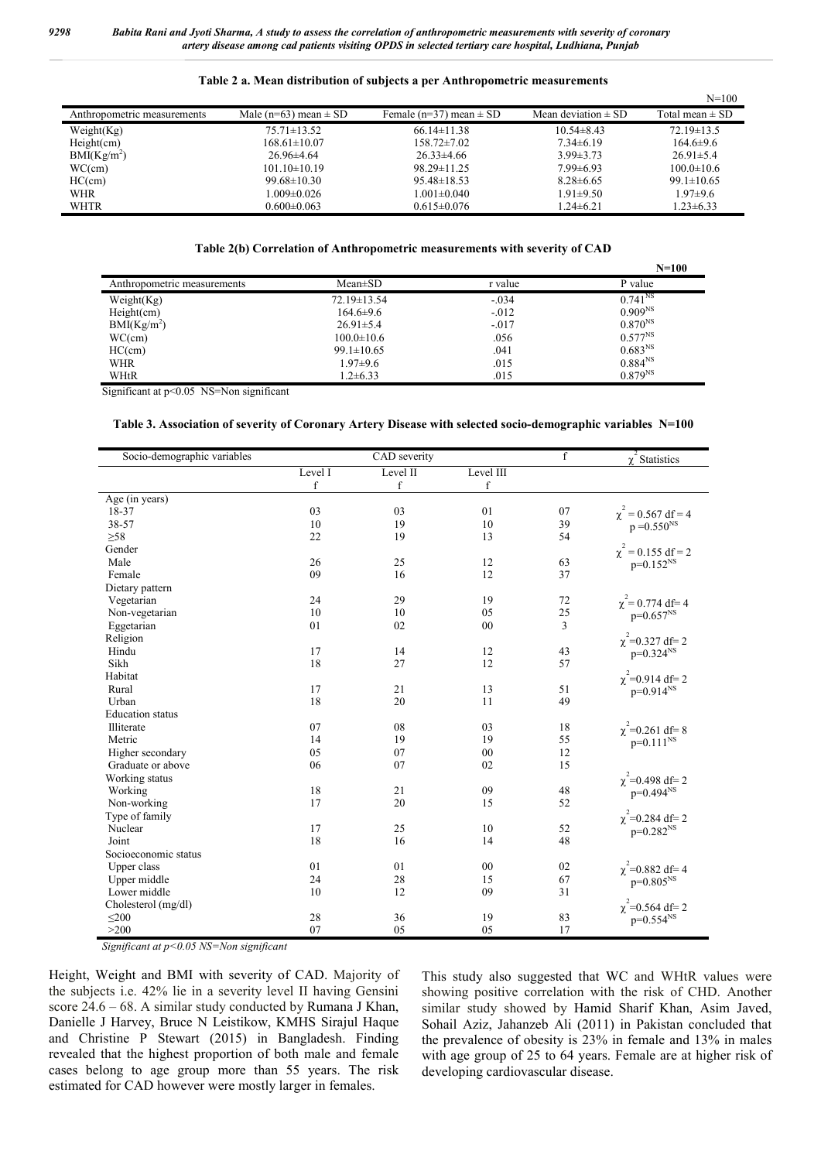|                             |                           |                             |                         | $N = 100$           |
|-----------------------------|---------------------------|-----------------------------|-------------------------|---------------------|
| Anthropometric measurements | Male (n=63) mean $\pm$ SD | Female (n=37) mean $\pm$ SD | Mean deviation $\pm$ SD | Total mean $\pm$ SD |
| Weight(Kg)                  | $75.71 \pm 13.52$         | $66.14 \pm 11.38$           | $10.54 \pm 8.43$        | $72.19 \pm 13.5$    |
| Height(cm)                  | $168.61 \pm 10.07$        | $158.72 \pm 7.02$           | $7.34\pm 6.19$          | $164.6\pm9.6$       |
| BMI(Kg/m <sup>2</sup> )     | $26.96\pm4.64$            | $26.33\pm4.66$              | $3.99 \pm 3.73$         | $26.91 \pm 5.4$     |
| WC(cm)                      | $101.10 \pm 10.19$        | $98.29 \pm 11.25$           | $7.99\pm 6.93$          | $100.0 \pm 10.6$    |
| HC(cm)                      | $99.68 \pm 10.30$         | $95.48 \pm 18.53$           | $8.28 \pm 6.65$         | $99.1 \pm 10.65$    |
| <b>WHR</b>                  | 1.009±0.026               | $1.001 \pm 0.040$           | $1.91 \pm 9.50$         | $1.97 \pm 9.6$      |
| <b>WHTR</b>                 | $0.600 \pm 0.063$         | $0.615 \pm 0.076$           | $1.24 \pm 6.21$         | $1.23 \pm 6.33$     |

### **Table 2 a. Mean distribution of subjects a per Anthropometric measurements**

### **Table 2(b) Correlation of Anthropometric measurements with severity of CAD**

|                             |                  |         | $N = 100$           |
|-----------------------------|------------------|---------|---------------------|
| Anthropometric measurements | $Mean \pm SD$    | r value | P value             |
| Weight(Kg)                  | 72.19±13.54      | $-.034$ | $0.741^{NS}$        |
| Height(cm)                  | $164.6 \pm 9.6$  | $-.012$ | 0.909 <sup>NS</sup> |
| $BMI(Kg/m^2)$               | $26.91 \pm 5.4$  | $-.017$ | $0.870^{NS}$        |
| WC(cm)                      | $100.0 \pm 10.6$ | .056    | $0.577^{NS}$        |
| HC(cm)                      | $99.1 \pm 10.65$ | .041    | 0.683 <sup>NS</sup> |
| WHR                         | $1.97 \pm 9.6$   | .015    | $0.884^{NS}$        |
| WHtR                        | $1.2 \pm 6.33$   | .015    | $0.879^{NS}$        |

Significant at p<0.05 NS=Non significant

#### **Table 3. Association of severity of Coronary Artery Disease with selected socio-demographic variables N=100**

| Socio-demographic variables | CAD severity |             | $\mathbf f$ | $\chi^2$ Statistics |                         |
|-----------------------------|--------------|-------------|-------------|---------------------|-------------------------|
|                             | Level I      | Level II    | Level III   |                     |                         |
|                             | $\mathbf f$  | $\mathbf f$ | $\mathbf f$ |                     |                         |
| Age (in years)              |              |             |             |                     |                         |
| 18-37                       | 03           | 03          | 01          | 07                  | $\chi^2$ = 0.567 df = 4 |
| 38-57                       | 10           | 19          | 10          | 39                  | $p = 0.550^{NS}$        |
| $\geq 58$                   | 22           | 19          | 13          | 54                  |                         |
| Gender                      |              |             |             |                     | $\chi^2$ = 0.155 df = 2 |
| Male                        | 26           | 25          | 12          | 63                  | $p=0.152^{NS}$          |
| Female                      | 09           | 16          | 12          | 37                  |                         |
| Dietary pattern             |              |             |             |                     |                         |
| Vegetarian                  | 24           | 29          | 19          | 72                  | $\chi^2$ = 0.774 df = 4 |
| Non-vegetarian              | 10           | 10          | 05          | 25                  | $p=0.657^{NS}$          |
| Eggetarian                  | 01           | 02          | 00          | $\overline{3}$      |                         |
| Religion                    |              |             |             |                     | $\chi^2$ =0.327 df= 2   |
| Hindu                       | 17           | 14          | 12          | 43                  | $p=0.324^{NS}$          |
| Sikh                        | 18           | 27          | 12          | 57                  |                         |
| Habitat                     |              |             |             |                     | $\chi^2$ =0.914 df= 2   |
| Rural                       | 17           | 21          | 13          | 51                  | $p=0.914^{NS}$          |
| Urban                       | 18           | 20          | 11          | 49                  |                         |
| <b>Education</b> status     |              |             |             |                     |                         |
| Illiterate                  | 07           | 08          | 03          | 18                  | $\chi^2$ =0.261 df=8    |
| Metric                      | 14           | 19          | 19          | 55                  | $p=0.111^{NS}$          |
| Higher secondary            | 05           | 07          | 00          | 12                  |                         |
| Graduate or above           | 06           | 07          | 02          | 15                  |                         |
| Working status              |              |             |             |                     | $\chi^2$ =0.498 df= 2   |
| Working                     | 18           | 21          | 09          | 48                  | $p=0.494^{NS}$          |
| Non-working                 | 17           | 20          | 15          | 52                  |                         |
| Type of family              |              |             |             |                     | $\chi^2$ =0.284 df= 2   |
| Nuclear                     | 17           | 25          | 10          | 52                  | $p=0.282^{NS}$          |
| Joint                       | 18           | 16          | 14          | 48                  |                         |
| Socioeconomic status        |              |             |             |                     |                         |
| Upper class                 | 01           | 01          | 00          | 02                  | $\chi^2$ =0.882 df=4    |
| Upper middle                | 24           | 28          | 15          | 67                  | $p=0.805^{NS}$          |
| Lower middle                | 10           | 12          | 09          | 31                  |                         |
| Cholesterol (mg/dl)         |              |             |             |                     | $\chi^2$ =0.564 df= 2   |
| $\leq 200$                  | 28           | 36          | 19          | 83                  | $p=0.554^{NS}$          |
| >200                        | 07           | 05          | 05          | 17                  |                         |

*Significant at p<0.05 NS=Non significant*

Height, Weight and BMI with severity of CAD. Majority of the subjects i.e. 42% lie in a severity level II having Gensini score 24.6 – 68. A similar study conducted by Rumana J Khan, Danielle J Harvey, Bruce N Leistikow, KMHS Sirajul Haque and Christine P Stewart (2015) in Bangladesh. Finding revealed that the highest proportion of both male and female cases belong to age group more than 55 years. The risk estimated for CAD however were mostly larger in females.

This study also suggested that WC and WHtR values were showing positive correlation with the risk of CHD. Another similar study showed by Hamid Sharif Khan, Asim Javed, Sohail Aziz, Jahanzeb Ali (2011) in Pakistan concluded that the prevalence of obesity is 23% in female and 13% in males with age group of 25 to 64 years. Female are at higher risk of developing cardiovascular disease.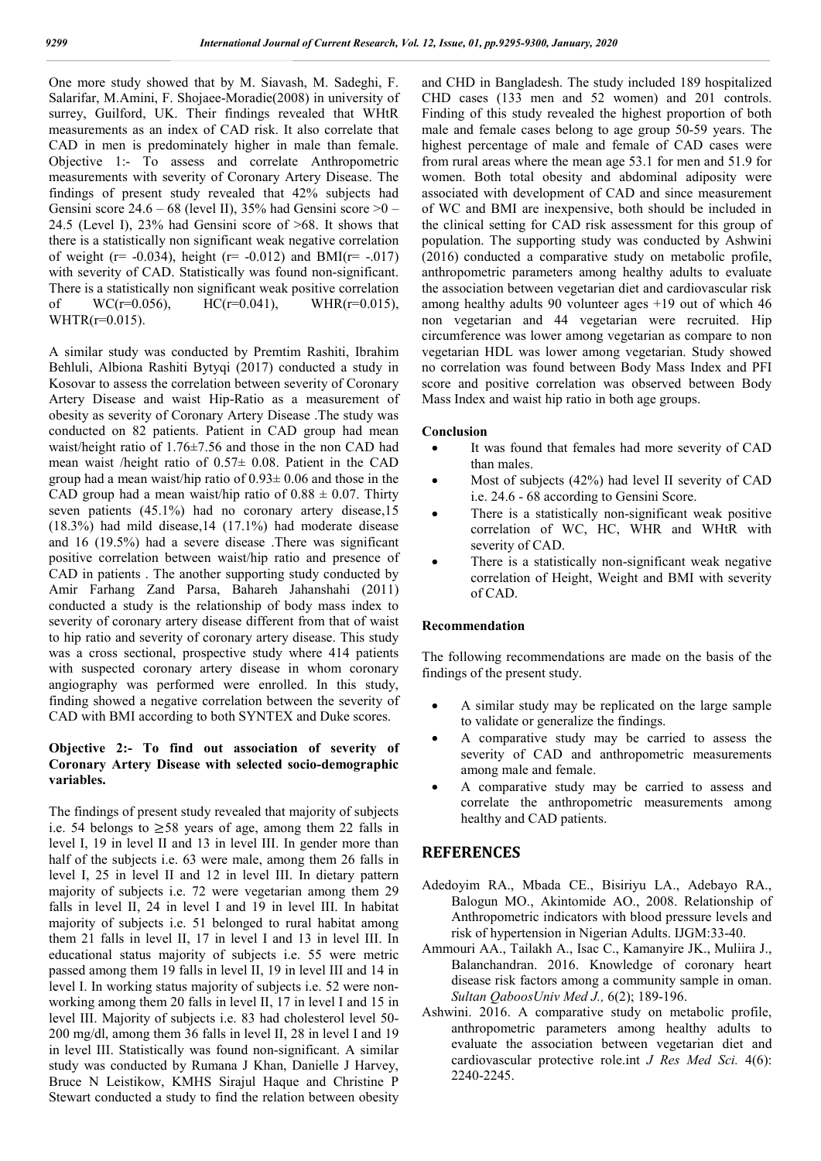One more study showed that by M. Siavash, M. Sadeghi, F. Salarifar, M.Amini, F. Shojaee-Moradie(2008) in university of surrey, Guilford, UK. Their findings revealed that WHtR measurements as an index of CAD risk. It also correlate that CAD in men is predominately higher in male than female. Objective 1:- To assess and correlate Anthropometric measurements with severity of Coronary Artery Disease. The findings of present study revealed that 42% subjects had Gensini score  $24.6 - 68$  (level II), 35% had Gensini score  $>0$  – 24.5 (Level I), 23% had Gensini score of >68. It shows that there is a statistically non significant weak negative correlation of weight (r= -0.034), height (r= -0.012) and BMI(r= -.017) with severity of CAD. Statistically was found non-significant. There is a statistically non significant weak positive correlation of  $WC(r=0.056)$ ,  $HC(r=0.041)$ ,  $WHR(r=0.015)$ ,  $WHTR(r=0.015)$ .

A similar study was conducted by Premtim Rashiti, Ibrahim Behluli, Albiona Rashiti Bytyqi (2017) conducted a study in Kosovar to assess the correlation between severity of Coronary Artery Disease and waist Hip-Ratio as a measurement of obesity as severity of Coronary Artery Disease .The study was conducted on 82 patients. Patient in CAD group had mean waist/height ratio of 1.76±7.56 and those in the non CAD had mean waist /height ratio of 0.57± 0.08. Patient in the CAD group had a mean waist/hip ratio of  $0.93 \pm 0.06$  and those in the CAD group had a mean waist/hip ratio of  $0.88 \pm 0.07$ . Thirty seven patients (45.1%) had no coronary artery disease,15 (18.3%) had mild disease,14 (17.1%) had moderate disease and 16 (19.5%) had a severe disease .There was significant positive correlation between waist/hip ratio and presence of CAD in patients . The another supporting study conducted by Amir Farhang Zand Parsa, Bahareh Jahanshahi (2011) conducted a study is the relationship of body mass index to severity of coronary artery disease different from that of waist to hip ratio and severity of coronary artery disease. This study was a cross sectional, prospective study where 414 patients with suspected coronary artery disease in whom coronary angiography was performed were enrolled. In this study, finding showed a negative correlation between the severity of CAD with BMI according to both SYNTEX and Duke scores.

### **Objective 2:- To find out association of severity of Coronary Artery Disease with selected socio-demographic variables.**

The findings of present study revealed that majority of subjects i.e. 54 belongs to  $\geq 58$  years of age, among them 22 falls in level I, 19 in level II and 13 in level III. In gender more than half of the subjects i.e. 63 were male, among them 26 falls in level I, 25 in level II and 12 in level III. In dietary pattern majority of subjects i.e. 72 were vegetarian among them 29 falls in level II, 24 in level I and 19 in level III. In habitat majority of subjects i.e. 51 belonged to rural habitat among them 21 falls in level II, 17 in level I and 13 in level III. In educational status majority of subjects i.e. 55 were metric passed among them 19 falls in level II, 19 in level III and 14 in level I. In working status majority of subjects i.e. 52 were nonworking among them 20 falls in level II, 17 in level I and 15 in level III. Majority of subjects i.e. 83 had cholesterol level 50- 200 mg/dl, among them 36 falls in level II, 28 in level I and 19 in level III. Statistically was found non-significant. A similar study was conducted by Rumana J Khan, Danielle J Harvey, Bruce N Leistikow, KMHS Sirajul Haque and Christine P Stewart conducted a study to find the relation between obesity

and CHD in Bangladesh. The study included 189 hospitalized CHD cases (133 men and 52 women) and 201 controls. Finding of this study revealed the highest proportion of both male and female cases belong to age group 50-59 years. The highest percentage of male and female of CAD cases were from rural areas where the mean age 53.1 for men and 51.9 for women. Both total obesity and abdominal adiposity were associated with development of CAD and since measurement of WC and BMI are inexpensive, both should be included in the clinical setting for CAD risk assessment for this group of population. The supporting study was conducted by Ashwini (2016) conducted a comparative study on metabolic profile, anthropometric parameters among healthy adults to evaluate the association between vegetarian diet and cardiovascular risk among healthy adults 90 volunteer ages +19 out of which 46 non vegetarian and 44 vegetarian were recruited. Hip circumference was lower among vegetarian as compare to non vegetarian HDL was lower among vegetarian. Study showed no correlation was found between Body Mass Index and PFI score and positive correlation was observed between Body Mass Index and waist hip ratio in both age groups.

#### **Conclusion**

- It was found that females had more severity of CAD than males.
- Most of subjects (42%) had level II severity of CAD i.e. 24.6 - 68 according to Gensini Score.
- There is a statistically non-significant weak positive correlation of WC, HC, WHR and WHtR with severity of CAD.
- There is a statistically non-significant weak negative correlation of Height, Weight and BMI with severity of CAD.

#### **Recommendation**

The following recommendations are made on the basis of the findings of the present study.

- A similar study may be replicated on the large sample to validate or generalize the findings.
- A comparative study may be carried to assess the severity of CAD and anthropometric measurements among male and female.
- A comparative study may be carried to assess and correlate the anthropometric measurements among healthy and CAD patients.

### **REFERENCES**

- Adedoyim RA., Mbada CE., Bisiriyu LA., Adebayo RA., Balogun MO., Akintomide AO., 2008. Relationship of Anthropometric indicators with blood pressure levels and risk of hypertension in Nigerian Adults. IJGM:33-40.
- Ammouri AA., Tailakh A., Isac C., Kamanyire JK., Muliira J., Balanchandran. 2016. Knowledge of coronary heart disease risk factors among a community sample in oman. *Sultan QaboosUniv Med J.,* 6(2); 189-196.
- Ashwini. 2016. A comparative study on metabolic profile, anthropometric parameters among healthy adults to evaluate the association between vegetarian diet and cardiovascular protective role.int *J Res Med Sci.* 4(6): 2240-2245.